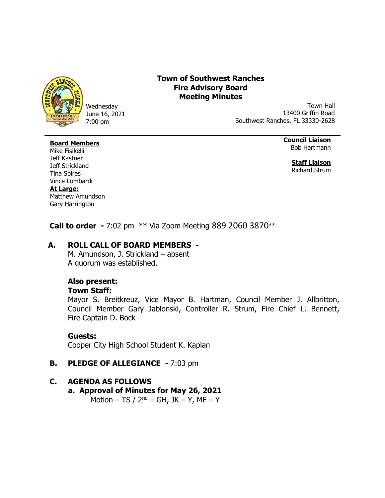

Wednesday June 16, 2021 7:00 pm

# **Town of Southwest Ranches Fire Advisory Board Meeting Minutes**

Town Hall 13400 Griffin Road Southwest Ranches, FL 33330-2628

### **Board Members**

**Council Liaison** Bob Hartmann

> **Staff Liaison** Richard Strum

Mike Fisikelli Jeff Kastner Jeff Strickland Tina Spires Vince Lombardi **At Large:** Matthew Amundson Gary Harrington

 **Call to order -** 7:02 pm \*\* Via Zoom Meeting 889 2060 3870\*\*

# **A. ROLL CALL OF BOARD MEMBERS -**

M. Amundson, J. Strickland – absent A quorum was established.

### **Also present:**

#### **Town Staff:**

Mayor S. Breitkreuz, Vice Mayor B. Hartman, Council Member J. Allbritton, Council Member Gary Jablonski, Controller R. Strum, Fire Chief L. Bennett, Fire Captain D. Bock

#### **Guests:**

Cooper City High School Student K. Kaplan

### **B. PLEDGE OF ALLEGIANCE -** 7:03 pm

# **C. AGENDA AS FOLLOWS**

**a. Approval of Minutes for May 26, 2021**

Motion – TS / 2<sup>nd</sup> – GH, JK – Y, MF – Y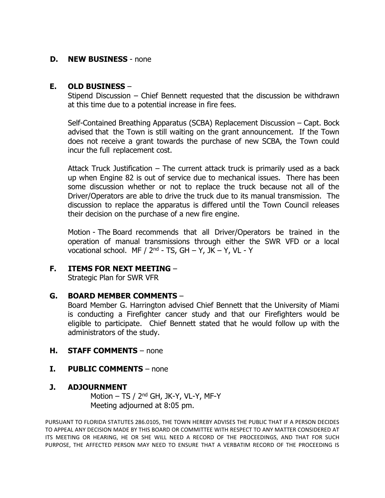#### **D. NEW BUSINESS** - none

### **E. OLD BUSINESS** –

Stipend Discussion – Chief Bennett requested that the discussion be withdrawn at this time due to a potential increase in fire fees.

Self-Contained Breathing Apparatus (SCBA) Replacement Discussion – Capt. Bock advised that the Town is still waiting on the grant announcement. If the Town does not receive a grant towards the purchase of new SCBA, the Town could incur the full replacement cost.

Attack Truck Justification – The current attack truck is primarily used as a back up when Engine 82 is out of service due to mechanical issues. There has been some discussion whether or not to replace the truck because not all of the Driver/Operators are able to drive the truck due to its manual transmission. The discussion to replace the apparatus is differed until the Town Council releases their decision on the purchase of a new fire engine.

Motion - The Board recommends that all Driver/Operators be trained in the operation of manual transmissions through either the SWR VFD or a local vocational school. MF /  $2^{nd}$  - TS, GH – Y, JK – Y, VL - Y

### **F. ITEMS FOR NEXT MEETING** –

Strategic Plan for SWR VFR

#### **G. BOARD MEMBER COMMENTS** –

Board Member G. Harrington advised Chief Bennett that the University of Miami is conducting a Firefighter cancer study and that our Firefighters would be eligible to participate. Chief Bennett stated that he would follow up with the administrators of the study.

#### **H. STAFF COMMENTS** – none

#### **I. PUBLIC COMMENTS** – none

#### **J. ADJOURNMENT**

Motion – TS / 2<sup>nd</sup> GH, JK-Y, VL-Y, MF-Y Meeting adjourned at 8:05 pm.

PURSUANT TO FLORIDA STATUTES 286.0105, THE TOWN HEREBY ADVISES THE PUBLIC THAT IF A PERSON DECIDES TO APPEAL ANY DECISION MADE BY THIS BOARD OR COMMITTEE WITH RESPECT TO ANY MATTER CONSIDERED AT ITS MEETING OR HEARING, HE OR SHE WILL NEED A RECORD OF THE PROCEEDINGS, AND THAT FOR SUCH PURPOSE, THE AFFECTED PERSON MAY NEED TO ENSURE THAT A VERBATIM RECORD OF THE PROCEEDING IS